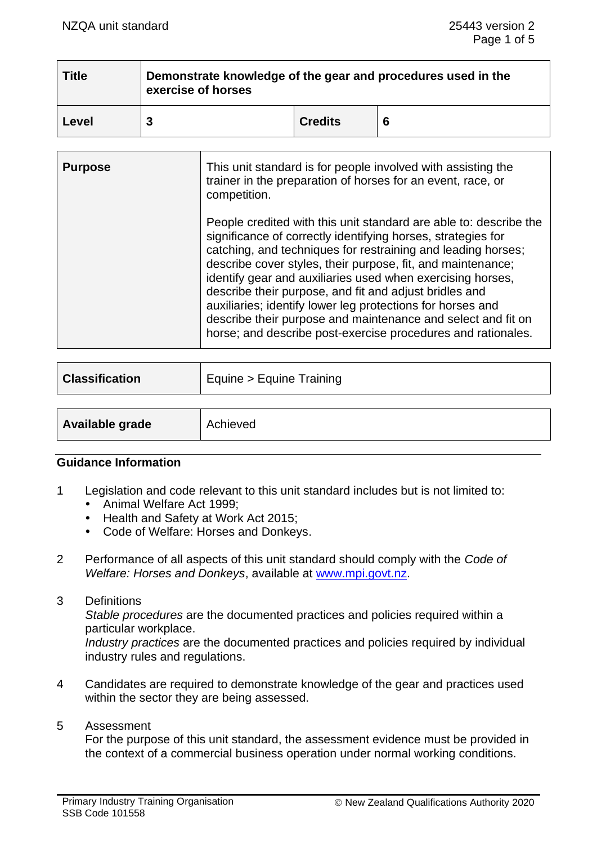| <b>Title</b> | Demonstrate knowledge of the gear and procedures used in the<br>exercise of horses |                |   |  |
|--------------|------------------------------------------------------------------------------------|----------------|---|--|
| Level        |                                                                                    | <b>Credits</b> | 6 |  |

| <b>Purpose</b> | This unit standard is for people involved with assisting the<br>trainer in the preparation of horses for an event, race, or<br>competition.                                                                                                                                                                                                                                                                                                                                                                                                                                            |
|----------------|----------------------------------------------------------------------------------------------------------------------------------------------------------------------------------------------------------------------------------------------------------------------------------------------------------------------------------------------------------------------------------------------------------------------------------------------------------------------------------------------------------------------------------------------------------------------------------------|
|                | People credited with this unit standard are able to: describe the<br>significance of correctly identifying horses, strategies for<br>catching, and techniques for restraining and leading horses;<br>describe cover styles, their purpose, fit, and maintenance;<br>identify gear and auxiliaries used when exercising horses,<br>describe their purpose, and fit and adjust bridles and<br>auxiliaries; identify lower leg protections for horses and<br>describe their purpose and maintenance and select and fit on<br>horse; and describe post-exercise procedures and rationales. |

| <b>Classification</b> | Equine > Equine Training |
|-----------------------|--------------------------|
|                       |                          |
| Available grade       | Achieved                 |

#### **Guidance Information**

- 1 Legislation and code relevant to this unit standard includes but is not limited to:
	- Animal Welfare Act 1999;
	- Health and Safety at Work Act 2015;
	- Code of Welfare: Horses and Donkeys.
- 2 Performance of all aspects of this unit standard should comply with the *Code of Welfare: Horses and Donkeys*, available at [www.mpi.govt.nz.](http://www.mpi.govt.nz/)
- 3 Definitions

*Stable procedures* are the documented practices and policies required within a particular workplace.

*Industry practices* are the documented practices and policies required by individual industry rules and regulations.

- 4 Candidates are required to demonstrate knowledge of the gear and practices used within the sector they are being assessed.
- 5 Assessment

For the purpose of this unit standard, the assessment evidence must be provided in the context of a commercial business operation under normal working conditions.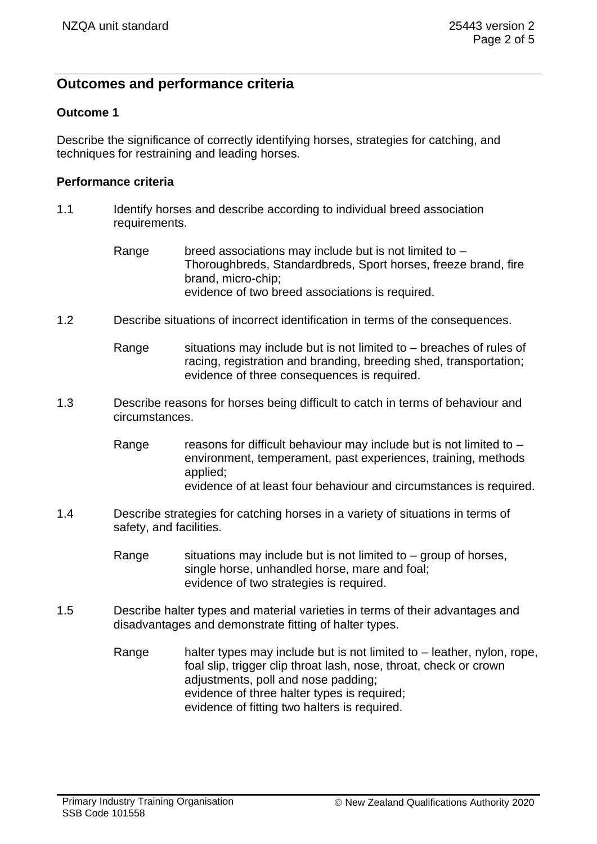# **Outcomes and performance criteria**

### **Outcome 1**

Describe the significance of correctly identifying horses, strategies for catching, and techniques for restraining and leading horses.

#### **Performance criteria**

- 1.1 Identify horses and describe according to individual breed association requirements.
	- Range breed associations may include but is not limited to  $-$ Thoroughbreds, Standardbreds, Sport horses, freeze brand, fire brand, micro-chip; evidence of two breed associations is required.
- 1.2 Describe situations of incorrect identification in terms of the consequences.
	- Range situations may include but is not limited to breaches of rules of racing, registration and branding, breeding shed, transportation; evidence of three consequences is required.
- 1.3 Describe reasons for horses being difficult to catch in terms of behaviour and circumstances.
	- Range reasons for difficult behaviour may include but is not limited to  $$ environment, temperament, past experiences, training, methods applied; evidence of at least four behaviour and circumstances is required.
- 1.4 Describe strategies for catching horses in a variety of situations in terms of safety, and facilities.
	- Range situations may include but is not limited to  $-$  group of horses, single horse, unhandled horse, mare and foal; evidence of two strategies is required.
- 1.5 Describe halter types and material varieties in terms of their advantages and disadvantages and demonstrate fitting of halter types.
	- Range halter types may include but is not limited to leather, nylon, rope, foal slip, trigger clip throat lash, nose, throat, check or crown adjustments, poll and nose padding; evidence of three halter types is required; evidence of fitting two halters is required.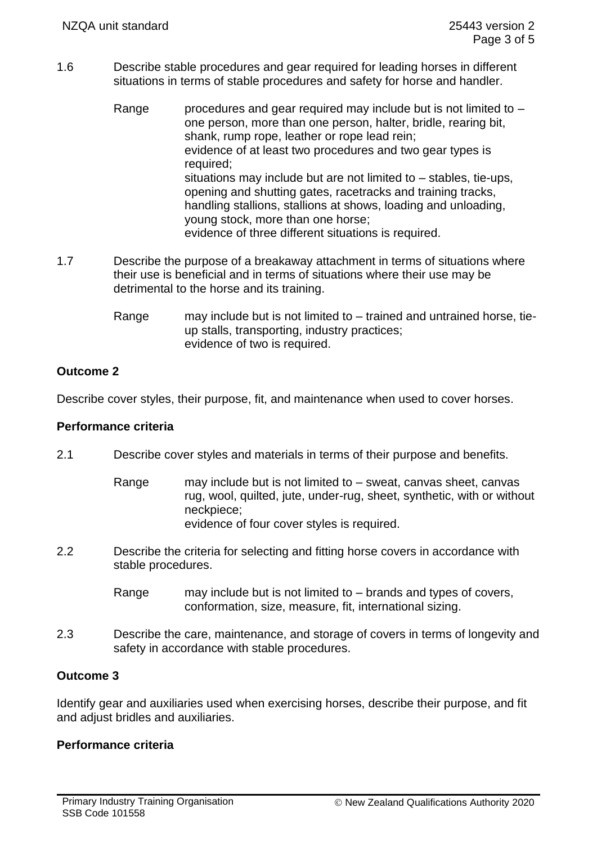- 1.6 Describe stable procedures and gear required for leading horses in different situations in terms of stable procedures and safety for horse and handler.
	- Range procedures and gear required may include but is not limited to  $$ one person, more than one person, halter, bridle, rearing bit, shank, rump rope, leather or rope lead rein; evidence of at least two procedures and two gear types is required; situations may include but are not limited to – stables, tie-ups, opening and shutting gates, racetracks and training tracks, handling stallions, stallions at shows, loading and unloading, young stock, more than one horse; evidence of three different situations is required.
- 1.7 Describe the purpose of a breakaway attachment in terms of situations where their use is beneficial and in terms of situations where their use may be detrimental to the horse and its training.
	- Range may include but is not limited to trained and untrained horse, tieup stalls, transporting, industry practices; evidence of two is required.

# **Outcome 2**

Describe cover styles, their purpose, fit, and maintenance when used to cover horses.

### **Performance criteria**

- 2.1 Describe cover styles and materials in terms of their purpose and benefits.
	- Range may include but is not limited to sweat, canvas sheet, canvas rug, wool, quilted, jute, under-rug, sheet, synthetic, with or without neckpiece; evidence of four cover styles is required.
- 2.2 Describe the criteria for selecting and fitting horse covers in accordance with stable procedures.
	- Range may include but is not limited to brands and types of covers, conformation, size, measure, fit, international sizing.
- 2.3 Describe the care, maintenance, and storage of covers in terms of longevity and safety in accordance with stable procedures.

# **Outcome 3**

Identify gear and auxiliaries used when exercising horses, describe their purpose, and fit and adjust bridles and auxiliaries.

# **Performance criteria**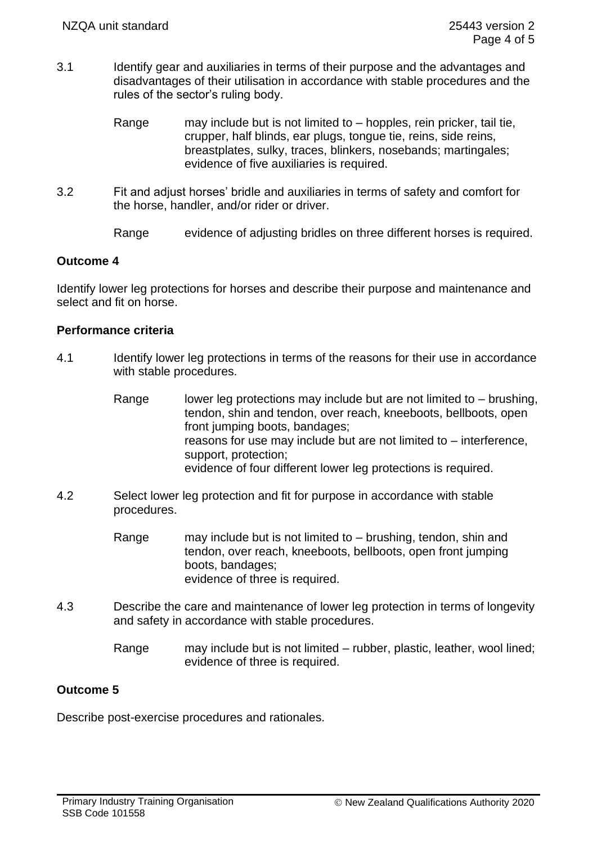- 3.1 Identify gear and auxiliaries in terms of their purpose and the advantages and disadvantages of their utilisation in accordance with stable procedures and the rules of the sector's ruling body.
	- Range may include but is not limited to hopples, rein pricker, tail tie, crupper, half blinds, ear plugs, tongue tie, reins, side reins, breastplates, sulky, traces, blinkers, nosebands; martingales; evidence of five auxiliaries is required.
- 3.2 Fit and adjust horses' bridle and auxiliaries in terms of safety and comfort for the horse, handler, and/or rider or driver.
	- Range evidence of adjusting bridles on three different horses is required.

### **Outcome 4**

Identify lower leg protections for horses and describe their purpose and maintenance and select and fit on horse.

### **Performance criteria**

- 4.1 Identify lower leg protections in terms of the reasons for their use in accordance with stable procedures.
	- Range lower leg protections may include but are not limited to  $-$  brushing, tendon, shin and tendon, over reach, kneeboots, bellboots, open front jumping boots, bandages; reasons for use may include but are not limited to – interference, support, protection; evidence of four different lower leg protections is required.
- 4.2 Select lower leg protection and fit for purpose in accordance with stable procedures.
	- Range may include but is not limited to brushing, tendon, shin and tendon, over reach, kneeboots, bellboots, open front jumping boots, bandages; evidence of three is required.
- 4.3 Describe the care and maintenance of lower leg protection in terms of longevity and safety in accordance with stable procedures.
	- Range may include but is not limited rubber, plastic, leather, wool lined; evidence of three is required.

### **Outcome 5**

Describe post-exercise procedures and rationales.